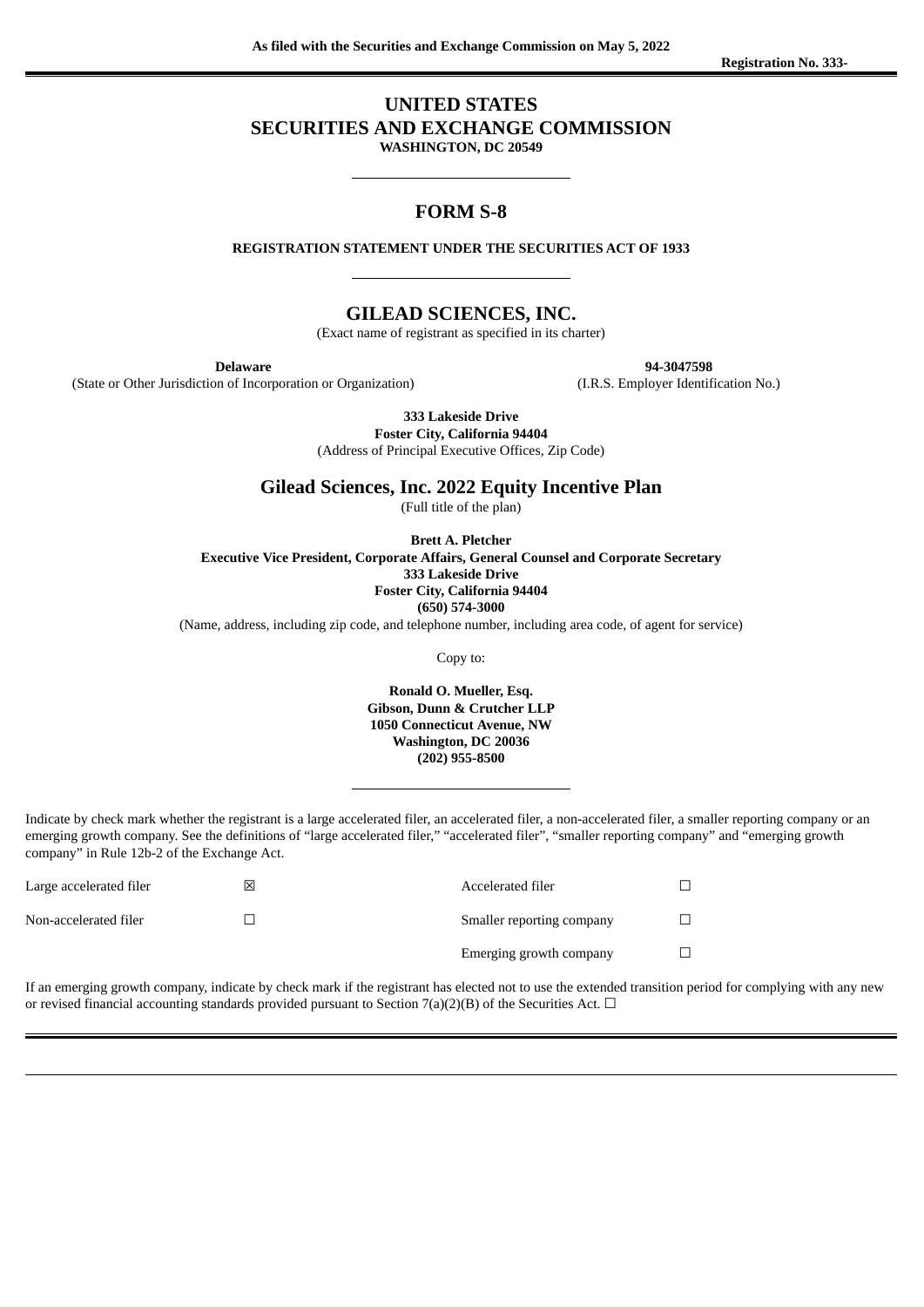## **UNITED STATES**

## **SECURITIES AND EXCHANGE COMMISSION**

**WASHINGTON, DC 20549**

## **FORM S-8**

**REGISTRATION STATEMENT UNDER THE SECURITIES ACT OF 1933**

## **GILEAD SCIENCES, INC.**

(Exact name of registrant as specified in its charter)

**Delaware**

(State or Other Jurisdiction of Incorporation or Organization)

**94-3047598**

(I.R.S. Employer Identification No.)

**333 Lakeside Drive**

**Foster City, California 94404**

(Address of Principal Executive Offices, Zip Code)

**Gilead Sciences, Inc. 2022 Equity Incentive Plan**

(Full title of the plan)

**Brett A. Pletcher Executive Vice President, Corporate Affairs, General Counsel and Corporate Secretary 333 Lakeside Drive Foster City, California 94404 (650) 574-3000**

(Name, address, including zip code, and telephone number, including area code, of agent for service)

Copy to:

**Ronald O. Mueller, Esq. Gibson, Dunn & Crutcher LLP 1050 Connecticut Avenue, NW Washington, DC 20036 (202) 955-8500**

Indicate by check mark whether the registrant is a large accelerated filer, an accelerated filer, a non-accelerated filer, a smaller reporting company or an emerging growth company. See the definitions of "large accelerated filer," "accelerated filer", "smaller reporting company" and "emerging growth company" in Rule 12b-2 of the Exchange Act.

| Large accelerated filer | Ι×Ι | Accelerated filer         |  |
|-------------------------|-----|---------------------------|--|
| Non-accelerated filer   |     | Smaller reporting company |  |
|                         |     | Emerging growth company   |  |

If an emerging growth company, indicate by check mark if the registrant has elected not to use the extended transition period for complying with any new or revised financial accounting standards provided pursuant to Section 7(a)(2)(B) of the Securities Act.  $\Box$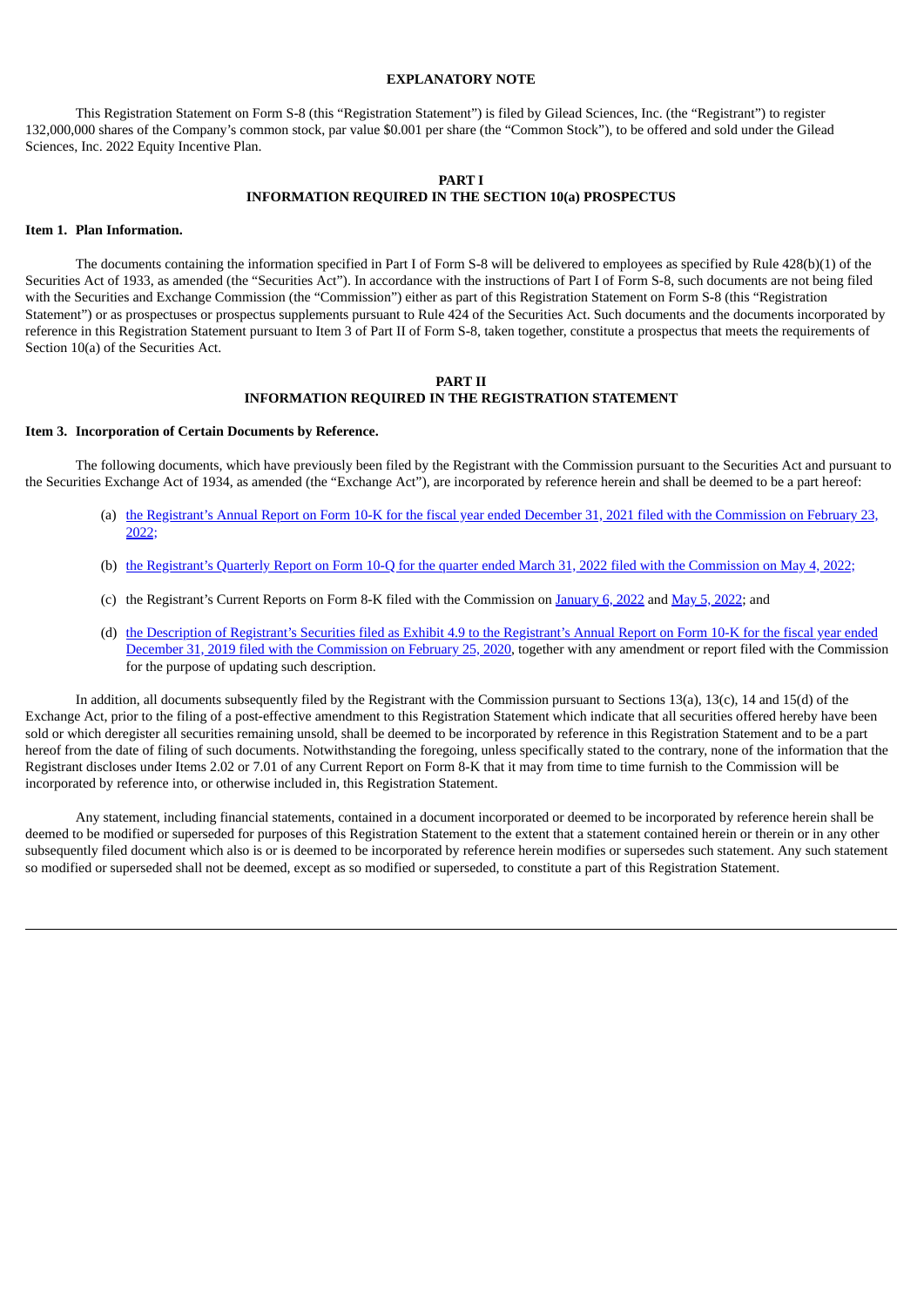## **EXPLANATORY NOTE**

This Registration Statement on Form S-8 (this "Registration Statement") is filed by Gilead Sciences, Inc. (the "Registrant") to register 132,000,000 shares of the Company's common stock, par value \$0.001 per share (the "Common Stock"), to be offered and sold under the Gilead Sciences, Inc. 2022 Equity Incentive Plan.

#### **PART I INFORMATION REQUIRED IN THE SECTION 10(a) PROSPECTUS**

#### **Item 1. Plan Information.**

The documents containing the information specified in Part I of Form S-8 will be delivered to employees as specified by Rule 428(b)(1) of the Securities Act of 1933, as amended (the "Securities Act"). In accordance with the instructions of Part I of Form S-8, such documents are not being filed with the Securities and Exchange Commission (the "Commission") either as part of this Registration Statement on Form S-8 (this "Registration Statement") or as prospectuses or prospectus supplements pursuant to Rule 424 of the Securities Act. Such documents and the documents incorporated by reference in this Registration Statement pursuant to Item 3 of Part II of Form S-8, taken together, constitute a prospectus that meets the requirements of Section 10(a) of the Securities Act.

#### **PART II INFORMATION REQUIRED IN THE REGISTRATION STATEMENT**

#### **Item 3. Incorporation of Certain Documents by Reference.**

The following documents, which have previously been filed by the Registrant with the Commission pursuant to the Securities Act and pursuant to the Securities Exchange Act of 1934, as amended (the "Exchange Act"), are incorporated by reference herein and shall be deemed to be a part hereof:

- (a) the Registrant's Annual Report on Form 10-K for the fiscal year ended December 31, 2021 filed with the [Commission](https://www.sec.gov/ix?doc=/Archives/edgar/data/882095/000088209522000007/gild-20211231.htm) on February 23,  $2022:$
- (b) the Registrant's Quarterly Report on Form 10-Q for the quarter ended March 31, 2022 filed with the [Commission](https://www.sec.gov/ix?doc=/Archives/edgar/data/882095/000088209522000013/gild-20220331.htm) on May 4, 2022;
- (c) the Registrant's Current Reports on Form 8-K filed with the Commission on [January](https://www.sec.gov/ix?doc=/Archives/edgar/data/882095/000110465922001923/tm221957d1_8k.htm) 6, 2022 and May 5, [2022;](http://www.sec.gov/ix?doc=/Archives/edgar/data/0000882095/000110465922056435/tm2213708d1_8k.htm) and
- (d) the Description of Registrant's Securities filed as Exhibit 4.9 to the Registrant's Annual Report on Form 10-K for the fiscal year ended December 31, 2019 filed with the [Commission](https://www.sec.gov/Archives/edgar/data/882095/000088209520000006/gild2019form10-kex49.htm) on February 25, 2020, together with any amendment or report filed with the Commission for the purpose of updating such description.

In addition, all documents subsequently filed by the Registrant with the Commission pursuant to Sections 13(a), 13(c), 14 and 15(d) of the Exchange Act, prior to the filing of a post-effective amendment to this Registration Statement which indicate that all securities offered hereby have been sold or which deregister all securities remaining unsold, shall be deemed to be incorporated by reference in this Registration Statement and to be a part hereof from the date of filing of such documents. Notwithstanding the foregoing, unless specifically stated to the contrary, none of the information that the Registrant discloses under Items 2.02 or 7.01 of any Current Report on Form 8-K that it may from time to time furnish to the Commission will be incorporated by reference into, or otherwise included in, this Registration Statement.

Any statement, including financial statements, contained in a document incorporated or deemed to be incorporated by reference herein shall be deemed to be modified or superseded for purposes of this Registration Statement to the extent that a statement contained herein or therein or in any other subsequently filed document which also is or is deemed to be incorporated by reference herein modifies or supersedes such statement. Any such statement so modified or superseded shall not be deemed, except as so modified or superseded, to constitute a part of this Registration Statement.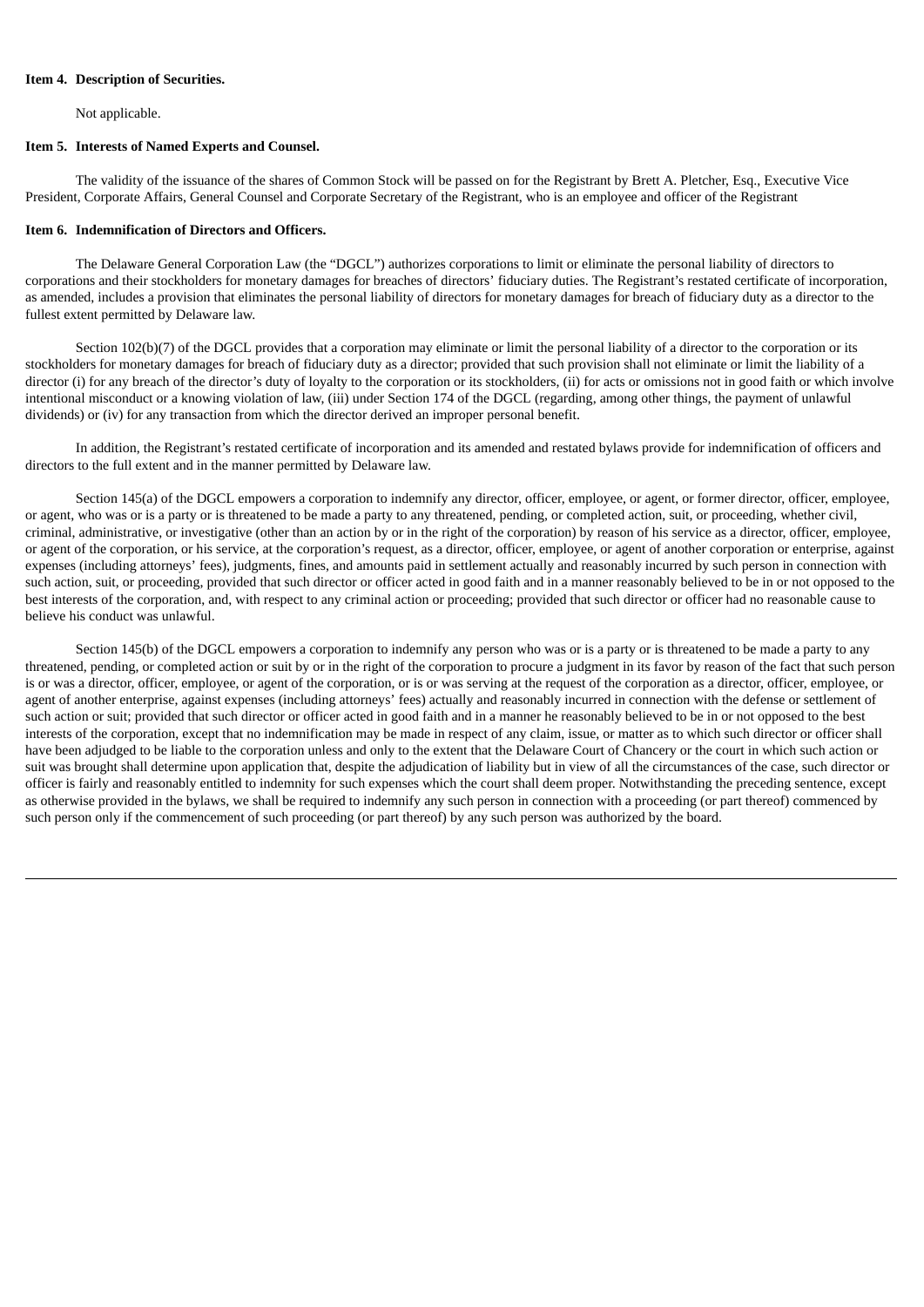#### **Item 4. Description of Securities.**

Not applicable.

#### **Item 5. Interests of Named Experts and Counsel.**

The validity of the issuance of the shares of Common Stock will be passed on for the Registrant by Brett A. Pletcher, Esq., Executive Vice President, Corporate Affairs, General Counsel and Corporate Secretary of the Registrant, who is an employee and officer of the Registrant

#### **Item 6. Indemnification of Directors and Officers.**

The Delaware General Corporation Law (the "DGCL") authorizes corporations to limit or eliminate the personal liability of directors to corporations and their stockholders for monetary damages for breaches of directors' fiduciary duties. The Registrant's restated certificate of incorporation, as amended, includes a provision that eliminates the personal liability of directors for monetary damages for breach of fiduciary duty as a director to the fullest extent permitted by Delaware law.

Section 102(b)(7) of the DGCL provides that a corporation may eliminate or limit the personal liability of a director to the corporation or its stockholders for monetary damages for breach of fiduciary duty as a director; provided that such provision shall not eliminate or limit the liability of a director (i) for any breach of the director's duty of loyalty to the corporation or its stockholders, (ii) for acts or omissions not in good faith or which involve intentional misconduct or a knowing violation of law, (iii) under Section 174 of the DGCL (regarding, among other things, the payment of unlawful dividends) or (iv) for any transaction from which the director derived an improper personal benefit.

In addition, the Registrant's restated certificate of incorporation and its amended and restated bylaws provide for indemnification of officers and directors to the full extent and in the manner permitted by Delaware law.

Section 145(a) of the DGCL empowers a corporation to indemnify any director, officer, employee, or agent, or former director, officer, employee, or agent, who was or is a party or is threatened to be made a party to any threatened, pending, or completed action, suit, or proceeding, whether civil, criminal, administrative, or investigative (other than an action by or in the right of the corporation) by reason of his service as a director, officer, employee, or agent of the corporation, or his service, at the corporation's request, as a director, officer, employee, or agent of another corporation or enterprise, against expenses (including attorneys' fees), judgments, fines, and amounts paid in settlement actually and reasonably incurred by such person in connection with such action, suit, or proceeding, provided that such director or officer acted in good faith and in a manner reasonably believed to be in or not opposed to the best interests of the corporation, and, with respect to any criminal action or proceeding; provided that such director or officer had no reasonable cause to believe his conduct was unlawful.

Section 145(b) of the DGCL empowers a corporation to indemnify any person who was or is a party or is threatened to be made a party to any threatened, pending, or completed action or suit by or in the right of the corporation to procure a judgment in its favor by reason of the fact that such person is or was a director, officer, employee, or agent of the corporation, or is or was serving at the request of the corporation as a director, officer, employee, or agent of another enterprise, against expenses (including attorneys' fees) actually and reasonably incurred in connection with the defense or settlement of such action or suit; provided that such director or officer acted in good faith and in a manner he reasonably believed to be in or not opposed to the best interests of the corporation, except that no indemnification may be made in respect of any claim, issue, or matter as to which such director or officer shall have been adjudged to be liable to the corporation unless and only to the extent that the Delaware Court of Chancery or the court in which such action or suit was brought shall determine upon application that, despite the adjudication of liability but in view of all the circumstances of the case, such director or officer is fairly and reasonably entitled to indemnity for such expenses which the court shall deem proper. Notwithstanding the preceding sentence, except as otherwise provided in the bylaws, we shall be required to indemnify any such person in connection with a proceeding (or part thereof) commenced by such person only if the commencement of such proceeding (or part thereof) by any such person was authorized by the board.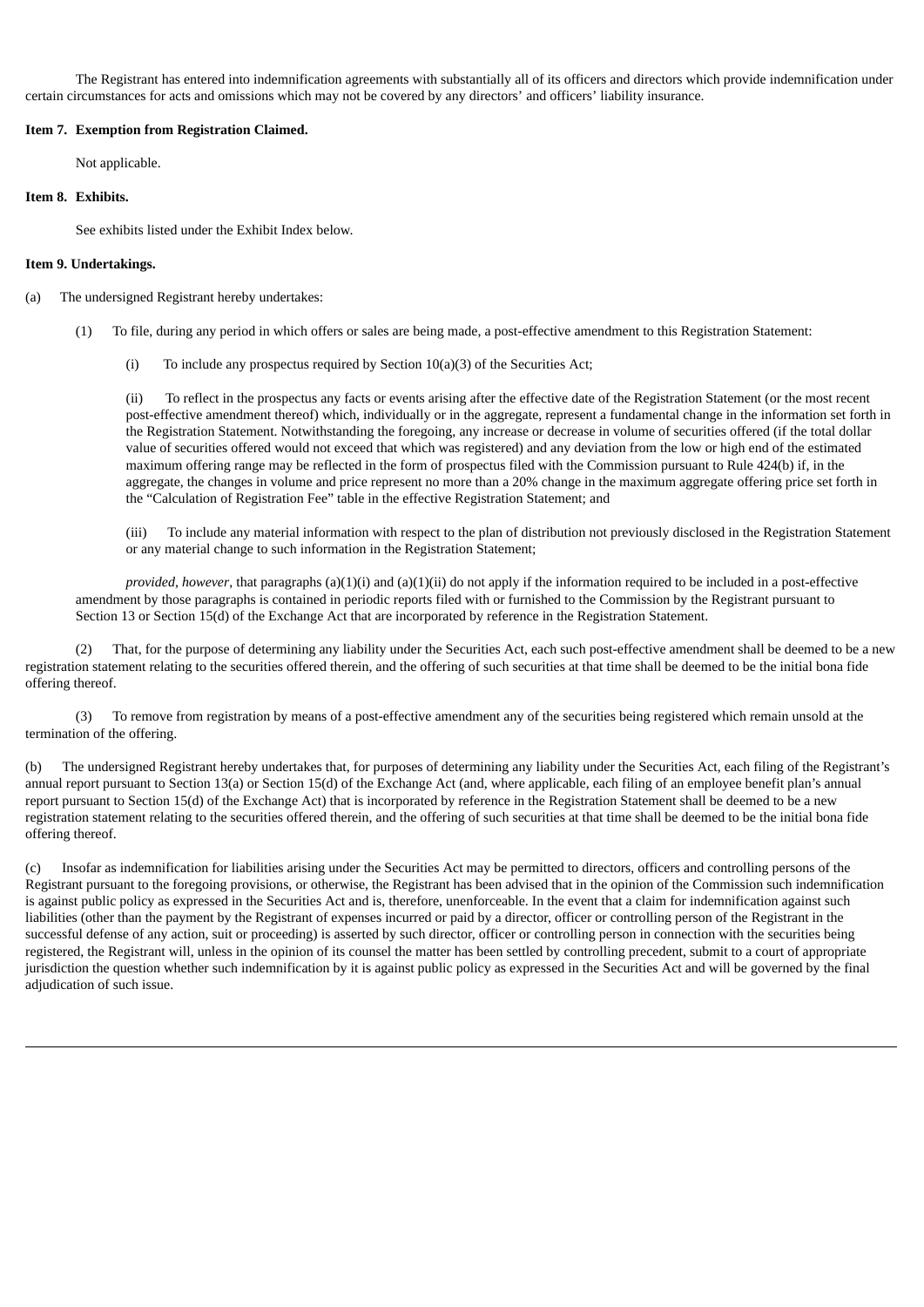The Registrant has entered into indemnification agreements with substantially all of its officers and directors which provide indemnification under certain circumstances for acts and omissions which may not be covered by any directors' and officers' liability insurance.

### **Item 7. Exemption from Registration Claimed.**

Not applicable.

#### **Item 8. Exhibits.**

See exhibits listed under the Exhibit Index below.

### **Item 9. Undertakings.**

- (a) The undersigned Registrant hereby undertakes:
	- (1) To file, during any period in which offers or sales are being made, a post-effective amendment to this Registration Statement:
		- (i) To include any prospectus required by Section  $10(a)(3)$  of the Securities Act;

(ii) To reflect in the prospectus any facts or events arising after the effective date of the Registration Statement (or the most recent post-effective amendment thereof) which, individually or in the aggregate, represent a fundamental change in the information set forth in the Registration Statement. Notwithstanding the foregoing, any increase or decrease in volume of securities offered (if the total dollar value of securities offered would not exceed that which was registered) and any deviation from the low or high end of the estimated maximum offering range may be reflected in the form of prospectus filed with the Commission pursuant to Rule 424(b) if, in the aggregate, the changes in volume and price represent no more than a 20% change in the maximum aggregate offering price set forth in the "Calculation of Registration Fee" table in the effective Registration Statement; and

(iii) To include any material information with respect to the plan of distribution not previously disclosed in the Registration Statement or any material change to such information in the Registration Statement;

*provided*, *however*, that paragraphs (a)(1)(i) and (a)(1)(ii) do not apply if the information required to be included in a post-effective amendment by those paragraphs is contained in periodic reports filed with or furnished to the Commission by the Registrant pursuant to Section 13 or Section 15(d) of the Exchange Act that are incorporated by reference in the Registration Statement.

(2) That, for the purpose of determining any liability under the Securities Act, each such post-effective amendment shall be deemed to be a new registration statement relating to the securities offered therein, and the offering of such securities at that time shall be deemed to be the initial bona fide offering thereof.

(3) To remove from registration by means of a post-effective amendment any of the securities being registered which remain unsold at the termination of the offering.

(b) The undersigned Registrant hereby undertakes that, for purposes of determining any liability under the Securities Act, each filing of the Registrant's annual report pursuant to Section 13(a) or Section 15(d) of the Exchange Act (and, where applicable, each filing of an employee benefit plan's annual report pursuant to Section 15(d) of the Exchange Act) that is incorporated by reference in the Registration Statement shall be deemed to be a new registration statement relating to the securities offered therein, and the offering of such securities at that time shall be deemed to be the initial bona fide offering thereof.

(c) Insofar as indemnification for liabilities arising under the Securities Act may be permitted to directors, officers and controlling persons of the Registrant pursuant to the foregoing provisions, or otherwise, the Registrant has been advised that in the opinion of the Commission such indemnification is against public policy as expressed in the Securities Act and is, therefore, unenforceable. In the event that a claim for indemnification against such liabilities (other than the payment by the Registrant of expenses incurred or paid by a director, officer or controlling person of the Registrant in the successful defense of any action, suit or proceeding) is asserted by such director, officer or controlling person in connection with the securities being registered, the Registrant will, unless in the opinion of its counsel the matter has been settled by controlling precedent, submit to a court of appropriate jurisdiction the question whether such indemnification by it is against public policy as expressed in the Securities Act and will be governed by the final adjudication of such issue.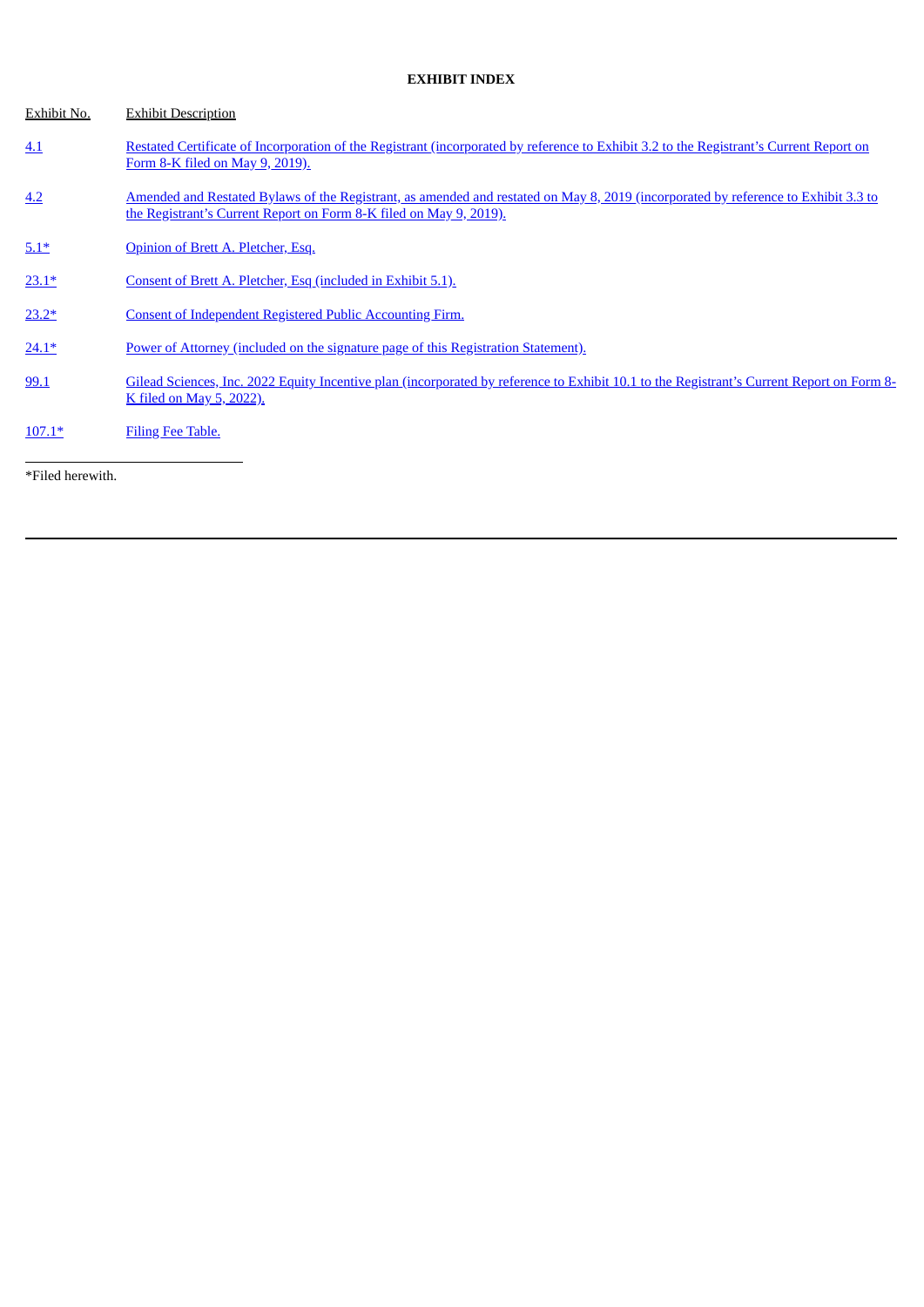## **EXHIBIT INDEX**

| Exhibit No. | <b>Exhibit Description</b>                                                                                                                                                                               |
|-------------|----------------------------------------------------------------------------------------------------------------------------------------------------------------------------------------------------------|
| 4.1         | Restated Certificate of Incorporation of the Registrant (incorporated by reference to Exhibit 3.2 to the Registrant's Current Report on<br>Form 8-K filed on May 9, 2019).                               |
| 4.2         | Amended and Restated Bylaws of the Registrant, as amended and restated on May 8, 2019 (incorporated by reference to Exhibit 3.3 to<br>the Registrant's Current Report on Form 8-K filed on May 9, 2019). |
| $5.1*$      | Opinion of Brett A. Pletcher, Esq.                                                                                                                                                                       |
| $23.1*$     | Consent of Brett A. Pletcher, Esq (included in Exhibit 5.1).                                                                                                                                             |
| $23.2*$     | Consent of Independent Registered Public Accounting Firm.                                                                                                                                                |
| $24.1*$     | Power of Attorney (included on the signature page of this Registration Statement).                                                                                                                       |
| 99.1        | Gilead Sciences, Inc. 2022 Equity Incentive plan (incorporated by reference to Exhibit 10.1 to the Registrant's Current Report on Form 8-<br>K filed on May 5, 2022).                                    |
| $107.1*$    | Filing Fee Table.                                                                                                                                                                                        |

\*Filed herewith.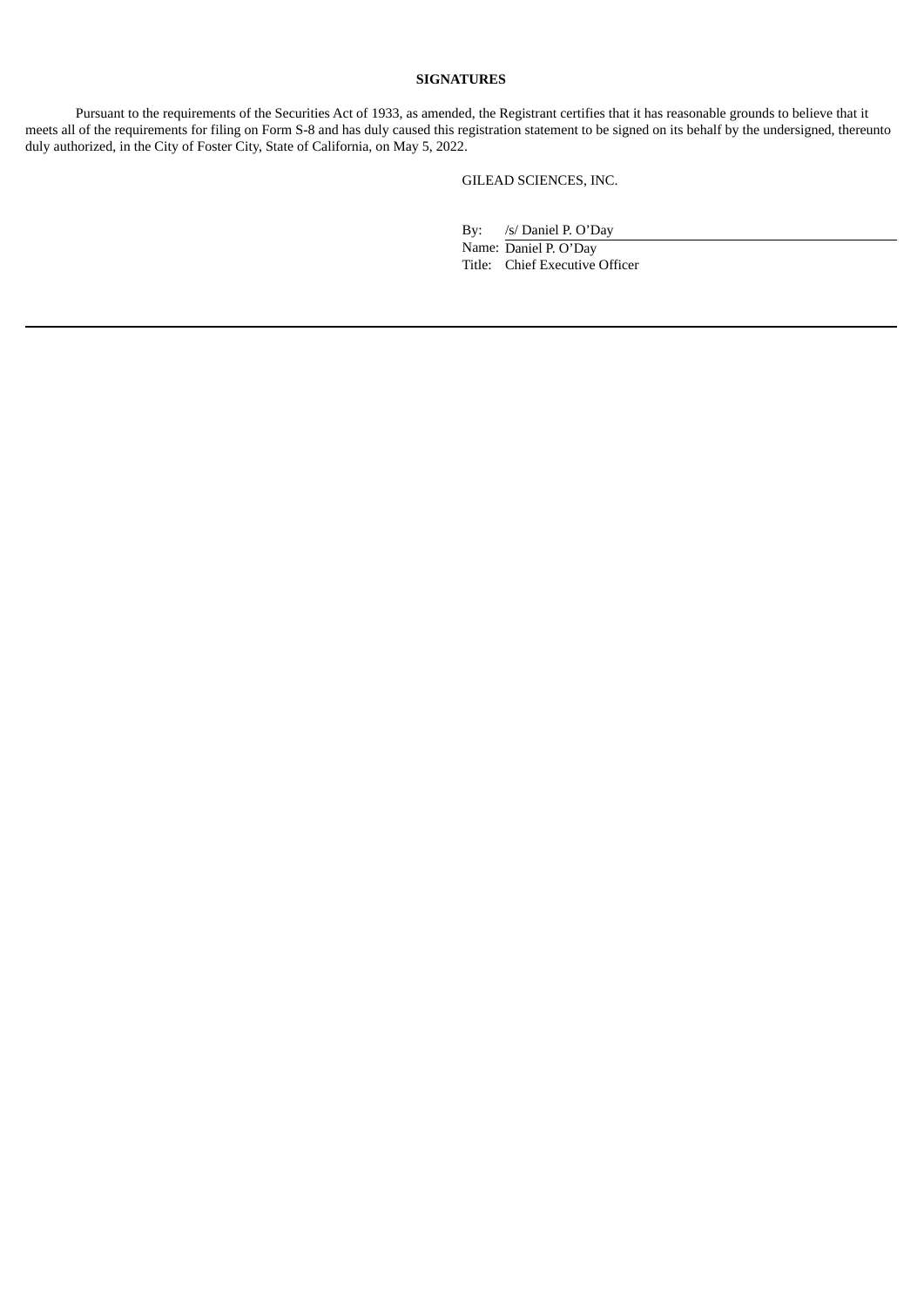## **SIGNATURES**

Pursuant to the requirements of the Securities Act of 1933, as amended, the Registrant certifies that it has reasonable grounds to believe that it meets all of the requirements for filing on Form S-8 and has duly caused this registration statement to be signed on its behalf by the undersigned, thereunto duly authorized, in the City of Foster City, State of California, on May 5, 2022.

GILEAD SCIENCES, INC.

By: /s/ Daniel P. O'Day

Name: Daniel P. O'Day Title: Chief Executive Officer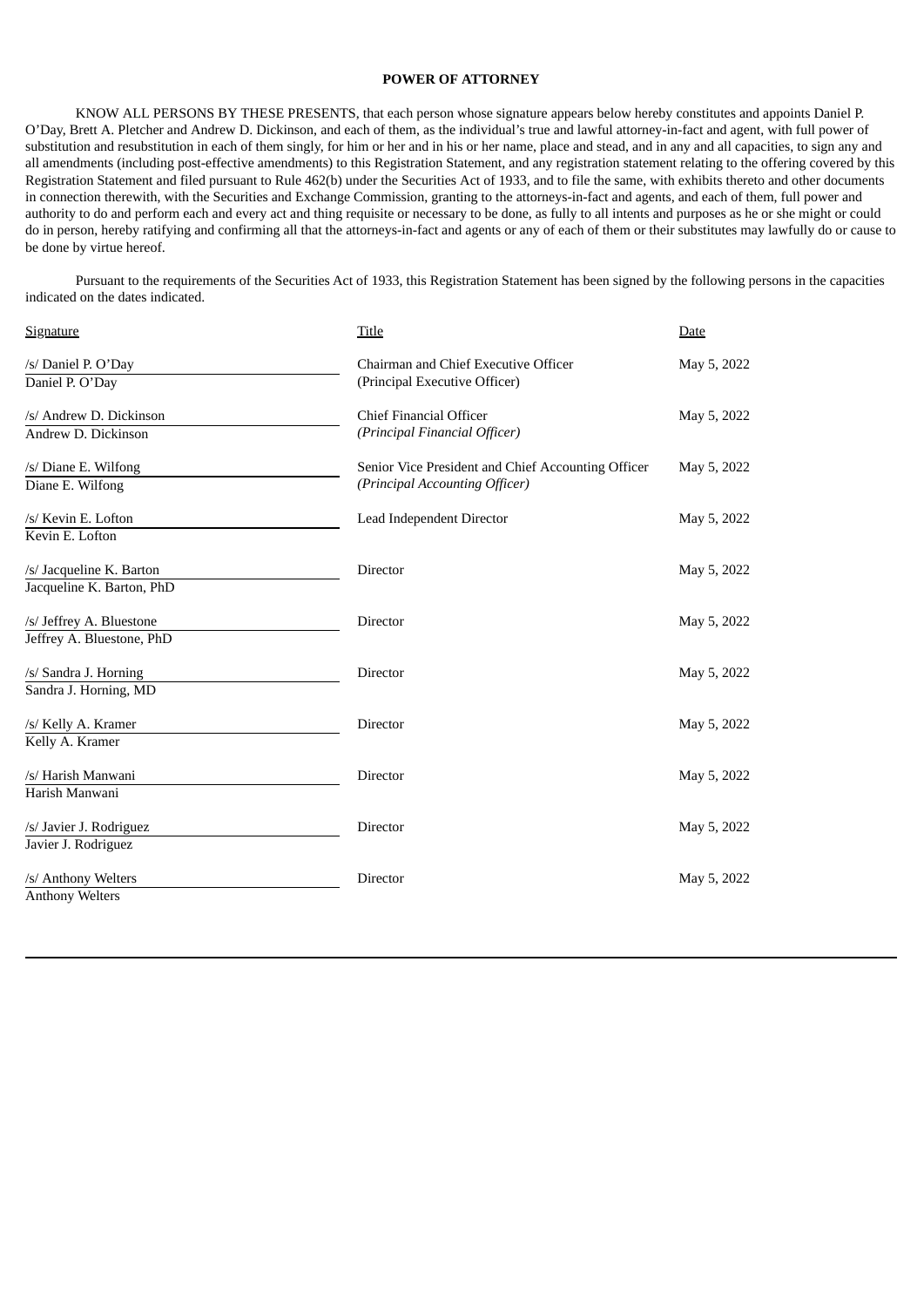## **POWER OF ATTORNEY**

<span id="page-6-0"></span>KNOW ALL PERSONS BY THESE PRESENTS, that each person whose signature appears below hereby constitutes and appoints Daniel P. O'Day, Brett A. Pletcher and Andrew D. Dickinson, and each of them, as the individual's true and lawful attorney-in-fact and agent, with full power of substitution and resubstitution in each of them singly, for him or her and in his or her name, place and stead, and in any and all capacities, to sign any and all amendments (including post-effective amendments) to this Registration Statement, and any registration statement relating to the offering covered by this Registration Statement and filed pursuant to Rule 462(b) under the Securities Act of 1933, and to file the same, with exhibits thereto and other documents in connection therewith, with the Securities and Exchange Commission, granting to the attorneys-in-fact and agents, and each of them, full power and authority to do and perform each and every act and thing requisite or necessary to be done, as fully to all intents and purposes as he or she might or could do in person, hereby ratifying and confirming all that the attorneys-in-fact and agents or any of each of them or their substitutes may lawfully do or cause to be done by virtue hereof.

Pursuant to the requirements of the Securities Act of 1933, this Registration Statement has been signed by the following persons in the capacities indicated on the dates indicated.

| <b>Signature</b>          | Title                                              | Date        |  |
|---------------------------|----------------------------------------------------|-------------|--|
| /s/ Daniel P. O'Day       | Chairman and Chief Executive Officer               | May 5, 2022 |  |
| Daniel P. O'Day           | (Principal Executive Officer)                      |             |  |
| /s/ Andrew D. Dickinson   | <b>Chief Financial Officer</b>                     | May 5, 2022 |  |
| Andrew D. Dickinson       | (Principal Financial Officer)                      |             |  |
| /s/ Diane E. Wilfong      | Senior Vice President and Chief Accounting Officer | May 5, 2022 |  |
| Diane E. Wilfong          | (Principal Accounting Officer)                     |             |  |
| /s/ Kevin E. Lofton       | Lead Independent Director                          | May 5, 2022 |  |
| Kevin E. Lofton           |                                                    |             |  |
| /s/ Jacqueline K. Barton  | Director                                           | May 5, 2022 |  |
| Jacqueline K. Barton, PhD |                                                    |             |  |
| /s/ Jeffrey A. Bluestone  | Director                                           | May 5, 2022 |  |
| Jeffrey A. Bluestone, PhD |                                                    |             |  |
| /s/ Sandra J. Horning     | Director                                           | May 5, 2022 |  |
| Sandra J. Horning, MD     |                                                    |             |  |
| /s/ Kelly A. Kramer       | Director                                           | May 5, 2022 |  |
| Kelly A. Kramer           |                                                    |             |  |
| /s/ Harish Manwani        | Director                                           | May 5, 2022 |  |
| Harish Manwani            |                                                    |             |  |
| /s/ Javier J. Rodriguez   | Director                                           | May 5, 2022 |  |
| Javier J. Rodriguez       |                                                    |             |  |
| /s/ Anthony Welters       | Director                                           | May 5, 2022 |  |
| <b>Anthony Welters</b>    |                                                    |             |  |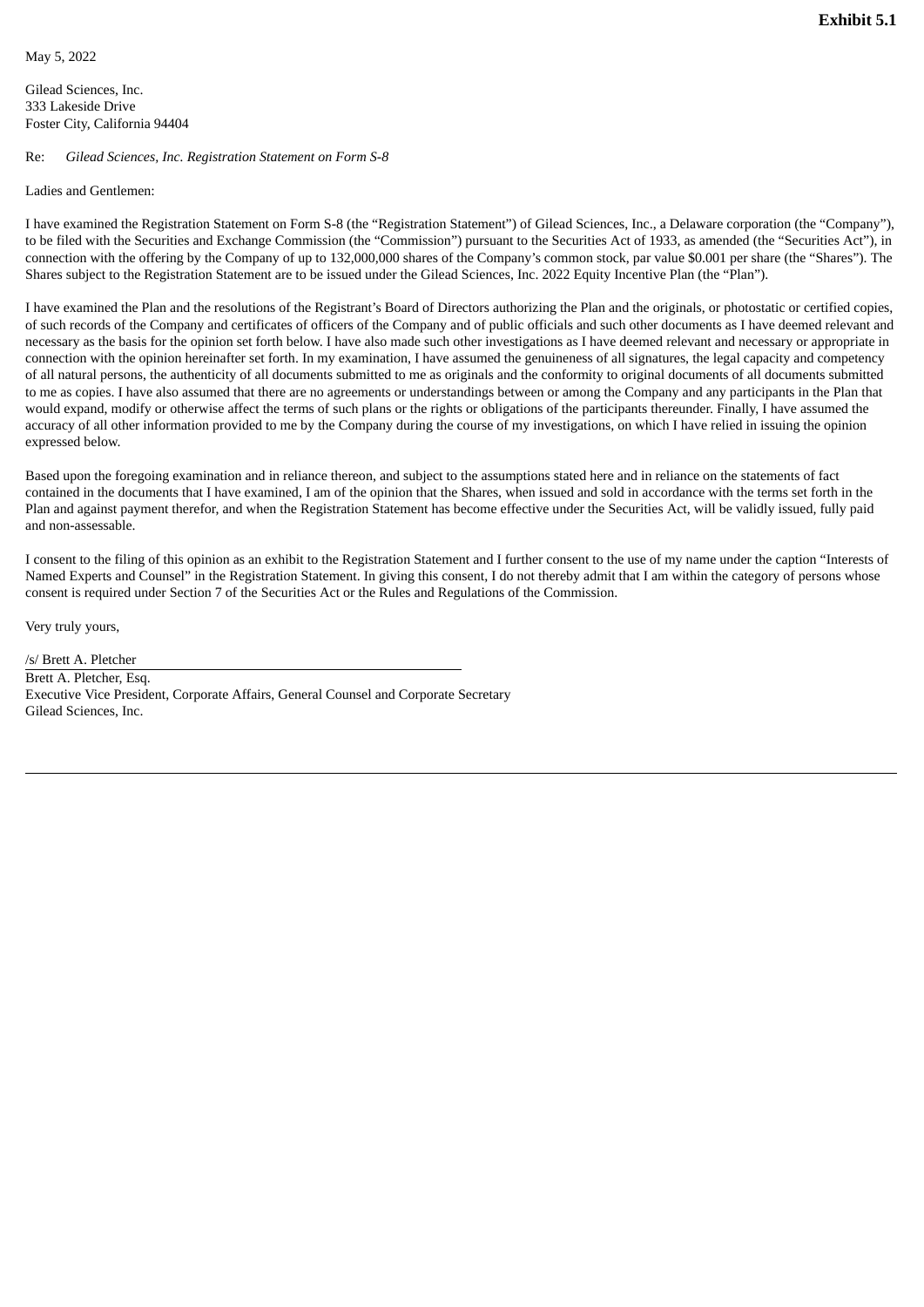<span id="page-7-0"></span>Gilead Sciences, Inc. 333 Lakeside Drive Foster City, California 94404

## Re: *Gilead Sciences, Inc. Registration Statement on Form S-8*

### Ladies and Gentlemen:

I have examined the Registration Statement on Form S-8 (the "Registration Statement") of Gilead Sciences, Inc., a Delaware corporation (the "Company"), to be filed with the Securities and Exchange Commission (the "Commission") pursuant to the Securities Act of 1933, as amended (the "Securities Act"), in connection with the offering by the Company of up to 132,000,000 shares of the Company's common stock, par value \$0.001 per share (the "Shares"). The Shares subject to the Registration Statement are to be issued under the Gilead Sciences, Inc. 2022 Equity Incentive Plan (the "Plan").

I have examined the Plan and the resolutions of the Registrant's Board of Directors authorizing the Plan and the originals, or photostatic or certified copies, of such records of the Company and certificates of officers of the Company and of public officials and such other documents as I have deemed relevant and necessary as the basis for the opinion set forth below. I have also made such other investigations as I have deemed relevant and necessary or appropriate in connection with the opinion hereinafter set forth. In my examination, I have assumed the genuineness of all signatures, the legal capacity and competency of all natural persons, the authenticity of all documents submitted to me as originals and the conformity to original documents of all documents submitted to me as copies. I have also assumed that there are no agreements or understandings between or among the Company and any participants in the Plan that would expand, modify or otherwise affect the terms of such plans or the rights or obligations of the participants thereunder. Finally, I have assumed the accuracy of all other information provided to me by the Company during the course of my investigations, on which I have relied in issuing the opinion expressed below.

Based upon the foregoing examination and in reliance thereon, and subject to the assumptions stated here and in reliance on the statements of fact contained in the documents that I have examined, I am of the opinion that the Shares, when issued and sold in accordance with the terms set forth in the Plan and against payment therefor, and when the Registration Statement has become effective under the Securities Act, will be validly issued, fully paid and non-assessable.

I consent to the filing of this opinion as an exhibit to the Registration Statement and I further consent to the use of my name under the caption "Interests of Named Experts and Counsel" in the Registration Statement. In giving this consent, I do not thereby admit that I am within the category of persons whose consent is required under Section 7 of the Securities Act or the Rules and Regulations of the Commission.

Very truly yours,

/s/ Brett A. Pletcher Brett A. Pletcher, Esq. Executive Vice President, Corporate Affairs, General Counsel and Corporate Secretary Gilead Sciences, Inc.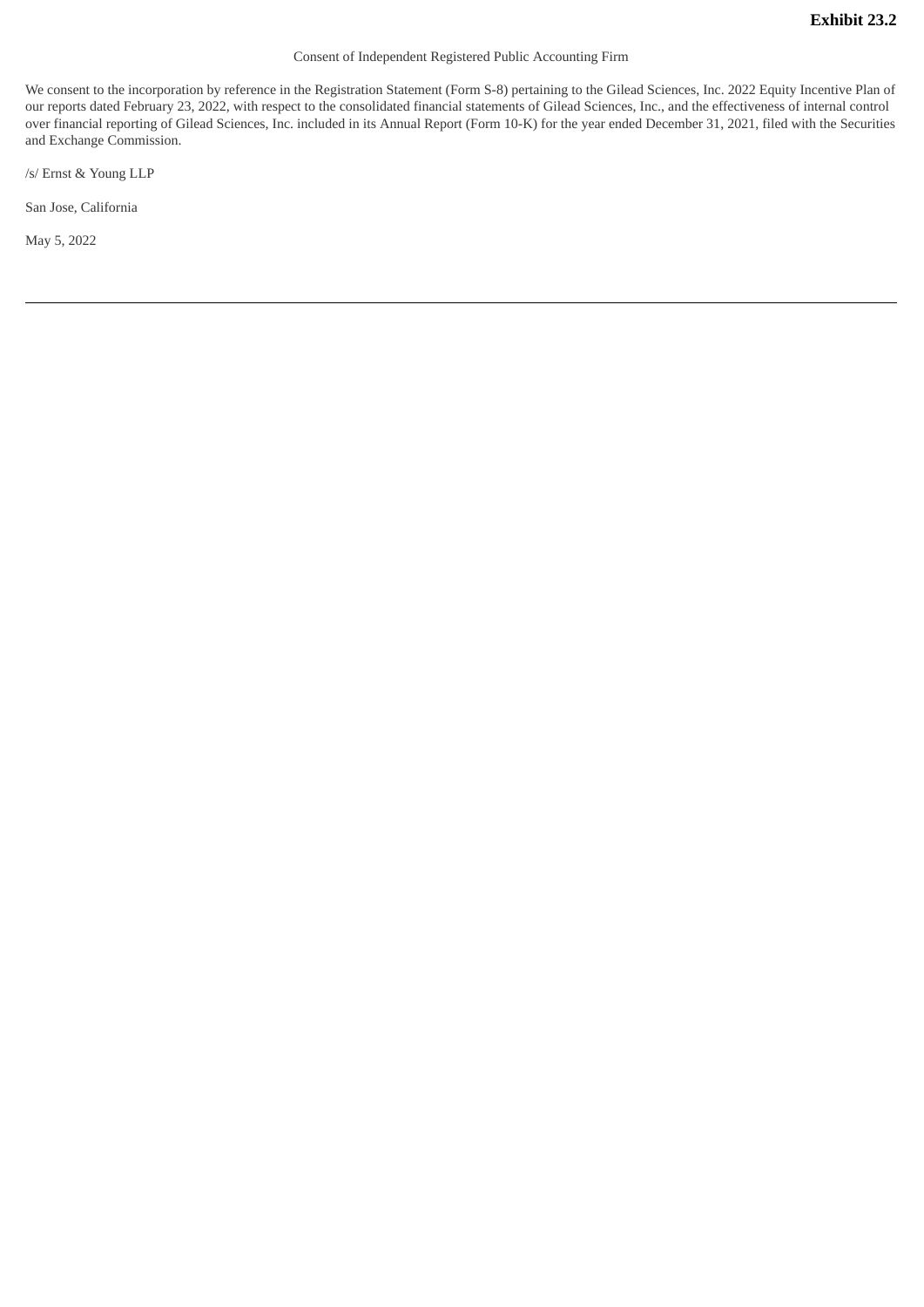### Consent of Independent Registered Public Accounting Firm

<span id="page-8-0"></span>We consent to the incorporation by reference in the Registration Statement (Form S-8) pertaining to the Gilead Sciences, Inc. 2022 Equity Incentive Plan of our reports dated February 23, 2022, with respect to the consolidated financial statements of Gilead Sciences, Inc., and the effectiveness of internal control over financial reporting of Gilead Sciences, Inc. included in its Annual Report (Form 10-K) for the year ended December 31, 2021, filed with the Securities and Exchange Commission.

/s/ Ernst & Young LLP

San Jose, California

May 5, 2022